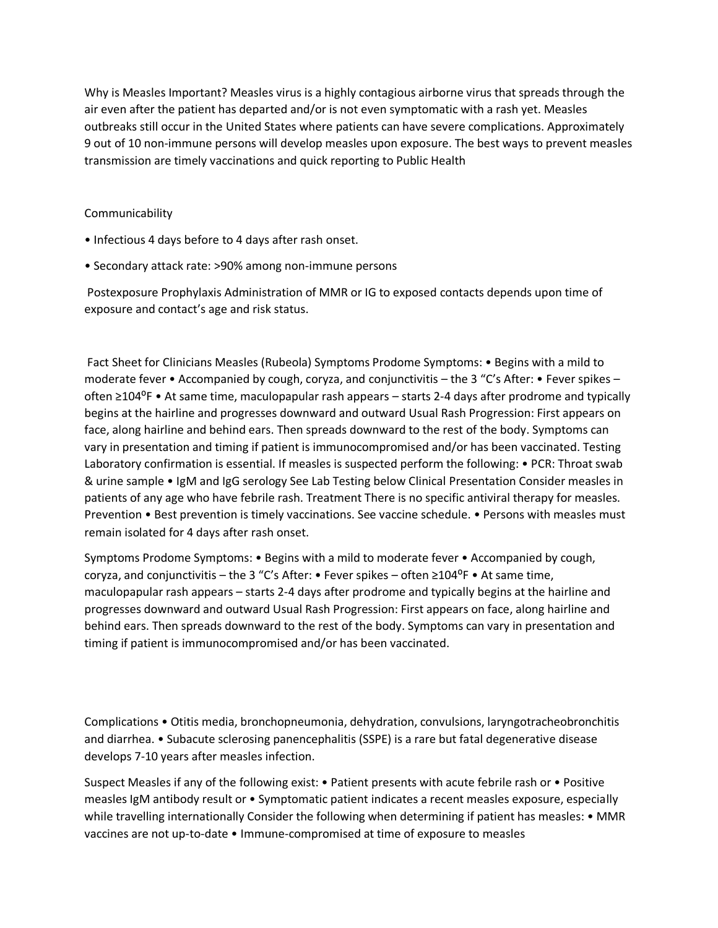Why is Measles Important? Measles virus is a highly contagious airborne virus that spreads through the air even after the patient has departed and/or is not even symptomatic with a rash yet. Measles outbreaks still occur in the United States where patients can have severe complications. Approximately 9 out of 10 non-immune persons will develop measles upon exposure. The best ways to prevent measles transmission are timely vaccinations and quick reporting to Public Health

## Communicability

- Infectious 4 days before to 4 days after rash onset.
- Secondary attack rate: >90% among non-immune persons

Postexposure Prophylaxis Administration of MMR or IG to exposed contacts depends upon time of exposure and contact's age and risk status.

Fact Sheet for Clinicians Measles (Rubeola) Symptoms Prodome Symptoms: • Begins with a mild to moderate fever • Accompanied by cough, coryza, and conjunctivitis – the 3 "C's After: • Fever spikes – often ≥104<sup>o</sup>F • At same time, maculopapular rash appears – starts 2-4 days after prodrome and typically begins at the hairline and progresses downward and outward Usual Rash Progression: First appears on face, along hairline and behind ears. Then spreads downward to the rest of the body. Symptoms can vary in presentation and timing if patient is immunocompromised and/or has been vaccinated. Testing Laboratory confirmation is essential. If measles is suspected perform the following: • PCR: Throat swab & urine sample • IgM and IgG serology See Lab Testing below Clinical Presentation Consider measles in patients of any age who have febrile rash. Treatment There is no specific antiviral therapy for measles. Prevention • Best prevention is timely vaccinations. See vaccine schedule. • Persons with measles must remain isolated for 4 days after rash onset.

Symptoms Prodome Symptoms: • Begins with a mild to moderate fever • Accompanied by cough, coryza, and conjunctivitis – the 3 "C's After: • Fever spikes – often  $\geq 104^{\circ}F$  • At same time, maculopapular rash appears – starts 2-4 days after prodrome and typically begins at the hairline and progresses downward and outward Usual Rash Progression: First appears on face, along hairline and behind ears. Then spreads downward to the rest of the body. Symptoms can vary in presentation and timing if patient is immunocompromised and/or has been vaccinated.

Complications • Otitis media, bronchopneumonia, dehydration, convulsions, laryngotracheobronchitis and diarrhea. • Subacute sclerosing panencephalitis (SSPE) is a rare but fatal degenerative disease develops 7-10 years after measles infection.

Suspect Measles if any of the following exist: • Patient presents with acute febrile rash or • Positive measles IgM antibody result or • Symptomatic patient indicates a recent measles exposure, especially while travelling internationally Consider the following when determining if patient has measles: • MMR vaccines are not up-to-date • Immune-compromised at time of exposure to measles